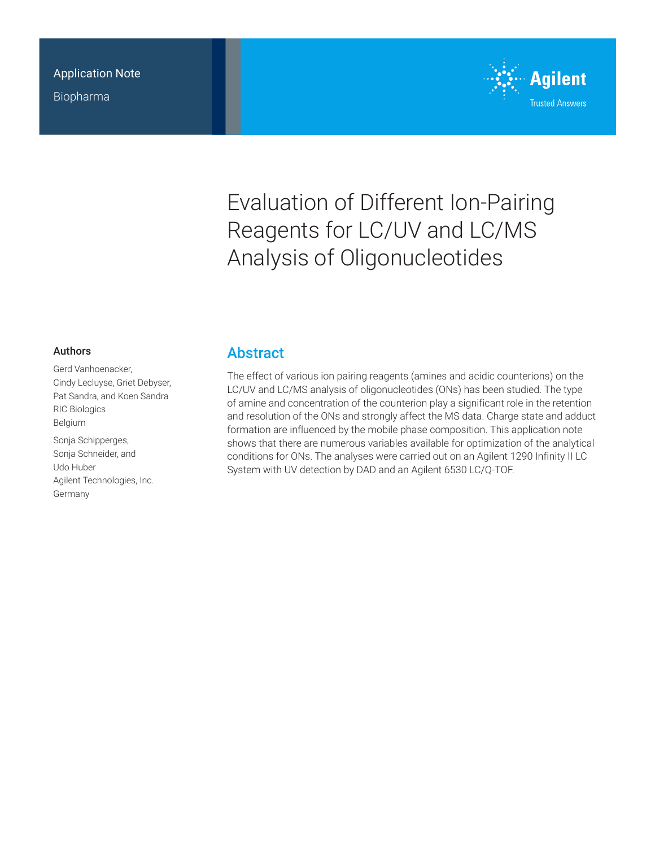

# Evaluation of Different Ion-Pairing Reagents for LC/UV and LC/MS Analysis of Oligonucleotides

#### Authors

Gerd Vanhoenacker, Cindy Lecluyse, Griet Debyser, Pat Sandra, and Koen Sandra RIC Biologics Belgium

Sonja Schipperges, Sonja Schneider, and Udo Huber Agilent Technologies, Inc. Germany

### **Abstract**

The effect of various ion pairing reagents (amines and acidic counterions) on the LC/UV and LC/MS analysis of oligonucleotides (ONs) has been studied. The type of amine and concentration of the counterion play a significant role in the retention and resolution of the ONs and strongly affect the MS data. Charge state and adduct formation are influenced by the mobile phase composition. This application note shows that there are numerous variables available for optimization of the analytical conditions for ONs. The analyses were carried out on an Agilent 1290 Infinity II LC System with UV detection by DAD and an Agilent 6530 LC/Q-TOF.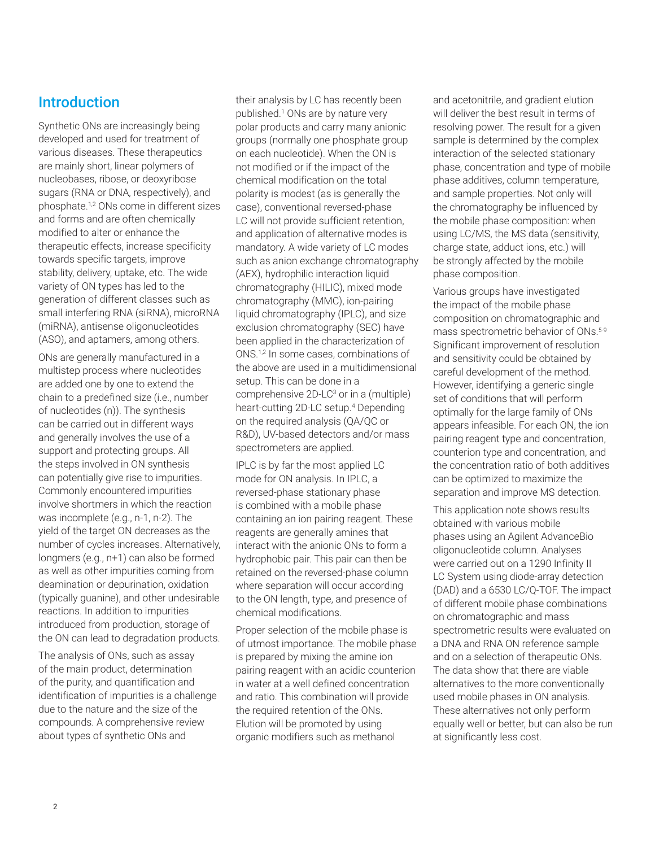### **Introduction**

Synthetic ONs are increasingly being developed and used for treatment of various diseases. These therapeutics are mainly short, linear polymers of nucleobases, ribose, or deoxyribose sugars (RNA or DNA, respectively), and phosphate.1,2 ONs come in different sizes and forms and are often chemically modified to alter or enhance the therapeutic effects, increase specificity towards specific targets, improve stability, delivery, uptake, etc. The wide variety of ON types has led to the generation of different classes such as small interfering RNA (siRNA), microRNA (miRNA), antisense oligonucleotides (ASO), and aptamers, among others.

ONs are generally manufactured in a multistep process where nucleotides are added one by one to extend the chain to a predefined size (i.e., number of nucleotides (n)). The synthesis can be carried out in different ways and generally involves the use of a support and protecting groups. All the steps involved in ON synthesis can potentially give rise to impurities. Commonly encountered impurities involve shortmers in which the reaction was incomplete (e.g., n-1, n-2). The yield of the target ON decreases as the number of cycles increases. Alternatively, longmers (e.g., n+1) can also be formed as well as other impurities coming from deamination or depurination, oxidation (typically guanine), and other undesirable reactions. In addition to impurities introduced from production, storage of the ON can lead to degradation products.

The analysis of ONs, such as assay of the main product, determination of the purity, and quantification and identification of impurities is a challenge due to the nature and the size of the compounds. A comprehensive review about types of synthetic ONs and

their analysis by LC has recently been published.1 ONs are by nature very polar products and carry many anionic groups (normally one phosphate group on each nucleotide). When the ON is not modified or if the impact of the chemical modification on the total polarity is modest (as is generally the case), conventional reversed-phase LC will not provide sufficient retention, and application of alternative modes is mandatory. A wide variety of LC modes such as anion exchange chromatography (AEX), hydrophilic interaction liquid chromatography (HILIC), mixed mode chromatography (MMC), ion-pairing liquid chromatography (IPLC), and size exclusion chromatography (SEC) have been applied in the characterization of ONS.<sup>1,2</sup> In some cases, combinations of the above are used in a multidimensional setup. This can be done in a comprehensive 2D-LC<sup>3</sup> or in a (multiple) heart-cutting 2D-LC setup.<sup>4</sup> Depending on the required analysis (QA/QC or R&D), UV-based detectors and/or mass spectrometers are applied.

IPLC is by far the most applied LC mode for ON analysis. In IPLC, a reversed‑phase stationary phase is combined with a mobile phase containing an ion pairing reagent. These reagents are generally amines that interact with the anionic ONs to form a hydrophobic pair. This pair can then be retained on the reversed-phase column where separation will occur according to the ON length, type, and presence of chemical modifications.

Proper selection of the mobile phase is of utmost importance. The mobile phase is prepared by mixing the amine ion pairing reagent with an acidic counterion in water at a well defined concentration and ratio. This combination will provide the required retention of the ONs. Elution will be promoted by using organic modifiers such as methanol

and acetonitrile, and gradient elution will deliver the best result in terms of resolving power. The result for a given sample is determined by the complex interaction of the selected stationary phase, concentration and type of mobile phase additives, column temperature, and sample properties. Not only will the chromatography be influenced by the mobile phase composition: when using LC/MS, the MS data (sensitivity, charge state, adduct ions, etc.) will be strongly affected by the mobile phase composition.

Various groups have investigated the impact of the mobile phase composition on chromatographic and mass spectrometric behavior of ONs.5-9 Significant improvement of resolution and sensitivity could be obtained by careful development of the method. However, identifying a generic single set of conditions that will perform optimally for the large family of ONs appears infeasible. For each ON, the ion pairing reagent type and concentration, counterion type and concentration, and the concentration ratio of both additives can be optimized to maximize the separation and improve MS detection.

This application note shows results obtained with various mobile phases using an Agilent AdvanceBio oligonucleotide column. Analyses were carried out on a 1290 Infinity II LC System using diode-array detection (DAD) and a 6530 LC/Q-TOF. The impact of different mobile phase combinations on chromatographic and mass spectrometric results were evaluated on a DNA and RNA ON reference sample and on a selection of therapeutic ONs. The data show that there are viable alternatives to the more conventionally used mobile phases in ON analysis. These alternatives not only perform equally well or better, but can also be run at significantly less cost.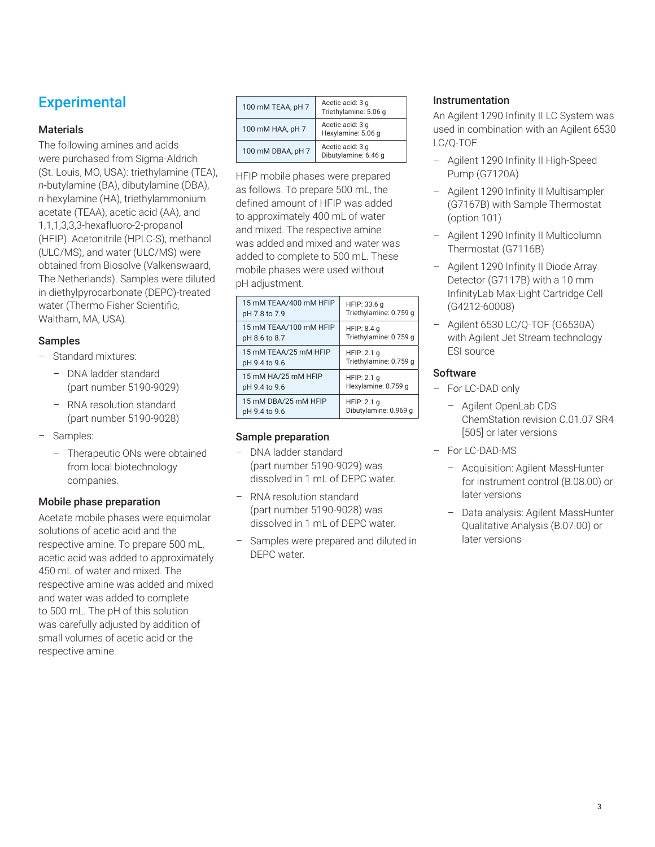# **Experimental**

#### **Materials**

The following amines and acids were purchased from Sigma-Aldrich (St. Louis, MO, USA): triethylamine (TEA), *n*-butylamine (BA), dibutylamine (DBA), *n*-hexylamine (HA), triethylammonium acetate (TEAA), acetic acid (AA), and 1,1,1,3,3,3-hexafluoro-2-propanol (HFIP). Acetonitrile (HPLC-S), methanol (ULC/MS), and water (ULC/MS) were obtained from Biosolve (Valkenswaard, The Netherlands). Samples were diluted in diethylpyrocarbonate (DEPC)‑treated water (Thermo Fisher Scientific, Waltham, MA, USA).

#### Samples

- Standard mixtures:
	- DNA ladder standard (part number 5190‑9029)
	- RNA resolution standard (part number 5190-9028)
- Samples:
	- Therapeutic ONs were obtained from local biotechnology companies.

#### Mobile phase preparation

Acetate mobile phases were equimolar solutions of acetic acid and the respective amine. To prepare 500 mL, acetic acid was added to approximately 450 mL of water and mixed. The respective amine was added and mixed and water was added to complete to 500 mL. The pH of this solution was carefully adjusted by addition of small volumes of acetic acid or the respective amine.

| 100 mM TEAA, pH 7 | Acetic acid: 3 g<br>Triethylamine: 5.06 g |  |
|-------------------|-------------------------------------------|--|
| 100 mM HAA, pH 7  | Acetic acid: 3 g<br>Hexylamine: 5.06 q    |  |
| 100 mM DBAA, pH 7 | Acetic acid: 3 g<br>Dibutylamine: 6.46 g  |  |

HFIP mobile phases were prepared as follows. To prepare 500 mL, the defined amount of HFIP was added to approximately 400 mL of water and mixed. The respective amine was added and mixed and water was added to complete to 500 mL. These mobile phases were used without pH adjustment.

| 15 mM TEAA/400 mM HFIP | HFIP: 33.6 g           |  |
|------------------------|------------------------|--|
| pH 7.8 to 7.9          | Triethylamine: 0.759 g |  |
| 15 mM TEAA/100 mM HFIP | HFIP: $8.4q$           |  |
| pH 8.6 to 8.7          | Triethylamine: 0.759 g |  |
| 15 mM TEAA/25 mM HFIP  | HFIP: $2.1$ q          |  |
| pH 9.4 to 9.6          | Triethylamine: 0.759 g |  |
| 15 mM HA/25 mM HFIP    | HFP: 2.1 g             |  |
| pH 9.4 to 9.6          | Hexylamine: 0.759 g    |  |
| 15 mM DBA/25 mM HFIP   | HFIP: 2.1 g            |  |
| pH 9.4 to 9.6          | Dibutylamine: 0.969 g  |  |

#### Sample preparation

- DNA ladder standard (part number 5190-9029) was dissolved in 1 mL of DEPC water.
- RNA resolution standard (part number 5190-9028) was dissolved in 1 mL of DEPC water.
- Samples were prepared and diluted in DEPC water

#### Instrumentation

An Agilent 1290 Infinity II LC System was used in combination with an Agilent 6530 LC/Q-TOF.

- Agilent 1290 Infinity II High‑Speed Pump (G7120A)
- Agilent 1290 Infinity II Multisampler (G7167B) with Sample Thermostat (option 101)
- Agilent 1290 Infinity II Multicolumn Thermostat (G7116B)
- Agilent 1290 Infinity II Diode Array Detector (G7117B) with a 10 mm InfinityLab Max-Light Cartridge Cell (G4212‑60008)
- Agilent 6530 LC/Q-TOF (G6530A) with Agilent Jet Stream technology ESI source

#### Software

- For LC-DAD only
	- Agilent OpenLab CDS ChemStation revision C.01.07 SR4 [505] or later versions
- For LC-DAD-MS
	- Acquisition: Agilent MassHunter for instrument control (B.08.00) or later versions
	- Data analysis: Agilent MassHunter Qualitative Analysis (B.07.00) or later versions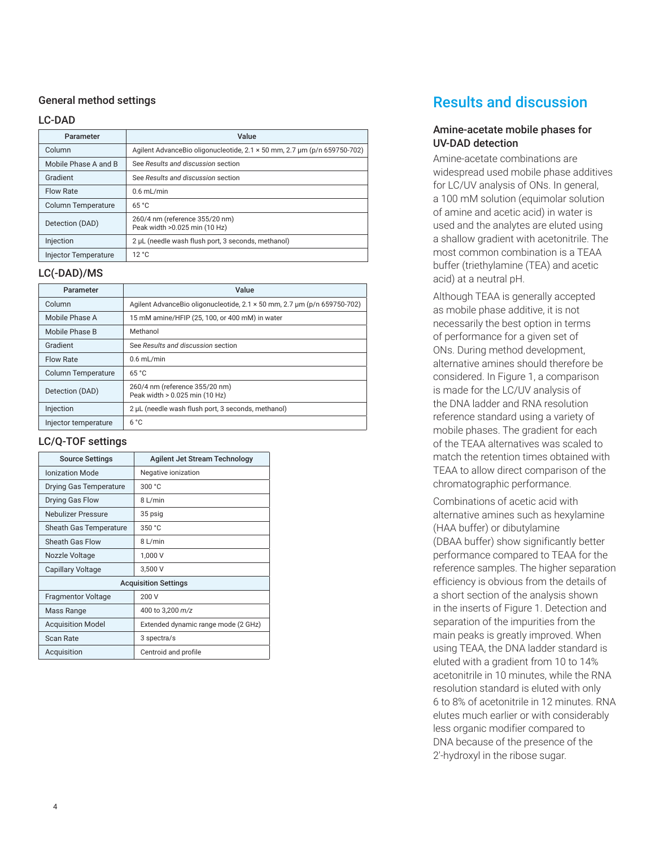#### General method settings

#### LC-DAD

| Parameter                   | Value                                                                                |  |  |
|-----------------------------|--------------------------------------------------------------------------------------|--|--|
| Column                      | Agilent AdvanceBio oligonucleotide, $2.1 \times 50$ mm, $2.7 \mu$ m (p/n 659750-702) |  |  |
| Mobile Phase A and B        | See Results and discussion section                                                   |  |  |
| Gradient                    | See Results and discussion section                                                   |  |  |
| <b>Flow Rate</b>            | $0.6$ mL/min                                                                         |  |  |
| <b>Column Temperature</b>   | 65 °C                                                                                |  |  |
| Detection (DAD)             | 260/4 nm (reference 355/20 nm)<br>Peak width > 0.025 min (10 Hz)                     |  |  |
| Injection                   | 2 µL (needle wash flush port, 3 seconds, methanol)                                   |  |  |
| <b>Injector Temperature</b> | 12 °C                                                                                |  |  |

#### LC(-DAD)/MS

| Parameter                 | Value                                                                                   |  |  |
|---------------------------|-----------------------------------------------------------------------------------------|--|--|
| Column                    | Agilent AdvanceBio oligonucleotide, $2.1 \times 50$ mm, $2.7 \mu$ m ( $p/n$ 659750-702) |  |  |
| Mobile Phase A            | 15 mM amine/HFIP (25, 100, or 400 mM) in water                                          |  |  |
| Mobile Phase B            | Methanol                                                                                |  |  |
| Gradient                  | See Results and discussion section                                                      |  |  |
| <b>Flow Rate</b>          | $0.6$ mL/min                                                                            |  |  |
| <b>Column Temperature</b> | 65 °C                                                                                   |  |  |
| Detection (DAD)           | 260/4 nm (reference 355/20 nm)<br>Peak width > 0.025 min (10 Hz)                        |  |  |
| Injection                 | 2 µL (needle wash flush port, 3 seconds, methanol)                                      |  |  |
| Injector temperature      | 6 °C                                                                                    |  |  |

#### LC/Q-TOF settings

| <b>Source Settings</b>      | Agilent Jet Stream Technology       |  |  |  |
|-----------------------------|-------------------------------------|--|--|--|
| <b>Ionization Mode</b>      | Negative ionization                 |  |  |  |
| Drying Gas Temperature      | 300 °C                              |  |  |  |
| Drying Gas Flow             | 8 L/min                             |  |  |  |
| Nebulizer Pressure          | 35 psig                             |  |  |  |
| Sheath Gas Temperature      | 350 °C                              |  |  |  |
| Sheath Gas Flow             | 8 L/min                             |  |  |  |
| Nozzle Voltage              | 1.000 V                             |  |  |  |
| Capillary Voltage           | 3,500 V                             |  |  |  |
| <b>Acquisition Settings</b> |                                     |  |  |  |
| <b>Fragmentor Voltage</b>   | 200 V                               |  |  |  |
| Mass Range                  | 400 to 3,200 m/z                    |  |  |  |
| <b>Acquisition Model</b>    | Extended dynamic range mode (2 GHz) |  |  |  |
| <b>Scan Rate</b>            | 3 spectra/s                         |  |  |  |
| Acquisition                 | Centroid and profile                |  |  |  |

## Results and discussion

#### Amine-acetate mobile phases for UV-DAD detection

Amine-acetate combinations are widespread used mobile phase additives for LC/UV analysis of ONs. In general, a 100 mM solution (equimolar solution of amine and acetic acid) in water is used and the analytes are eluted using a shallow gradient with acetonitrile. The most common combination is a TEAA buffer (triethylamine (TEA) and acetic acid) at a neutral pH.

Although TEAA is generally accepted as mobile phase additive, it is not necessarily the best option in terms of performance for a given set of ONs. During method development, alternative amines should therefore be considered. In Figure 1, a comparison is made for the LC/UV analysis of the DNA ladder and RNA resolution reference standard using a variety of mobile phases. The gradient for each of the TEAA alternatives was scaled to match the retention times obtained with TEAA to allow direct comparison of the chromatographic performance.

Combinations of acetic acid with alternative amines such as hexylamine (HAA buffer) or dibutylamine (DBAA buffer) show significantly better performance compared to TEAA for the reference samples. The higher separation efficiency is obvious from the details of a short section of the analysis shown in the inserts of Figure 1. Detection and separation of the impurities from the main peaks is greatly improved. When using TEAA, the DNA ladder standard is eluted with a gradient from 10 to 14% acetonitrile in 10 minutes, while the RNA resolution standard is eluted with only 6 to 8% of acetonitrile in 12 minutes. RNA elutes much earlier or with considerably less organic modifier compared to DNA because of the presence of the 2'-hydroxyl in the ribose sugar.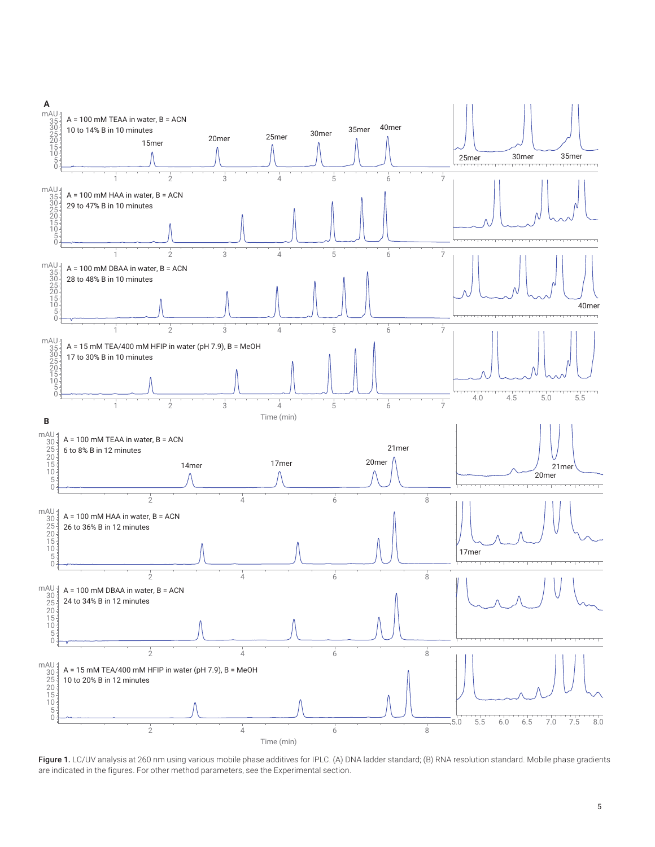

Figure 1. LC/UV analysis at 260 nm using various mobile phase additives for IPLC. (A) DNA ladder standard; (B) RNA resolution standard. Mobile phase gradients are indicated in the figures. For other method parameters, see the Experimental section.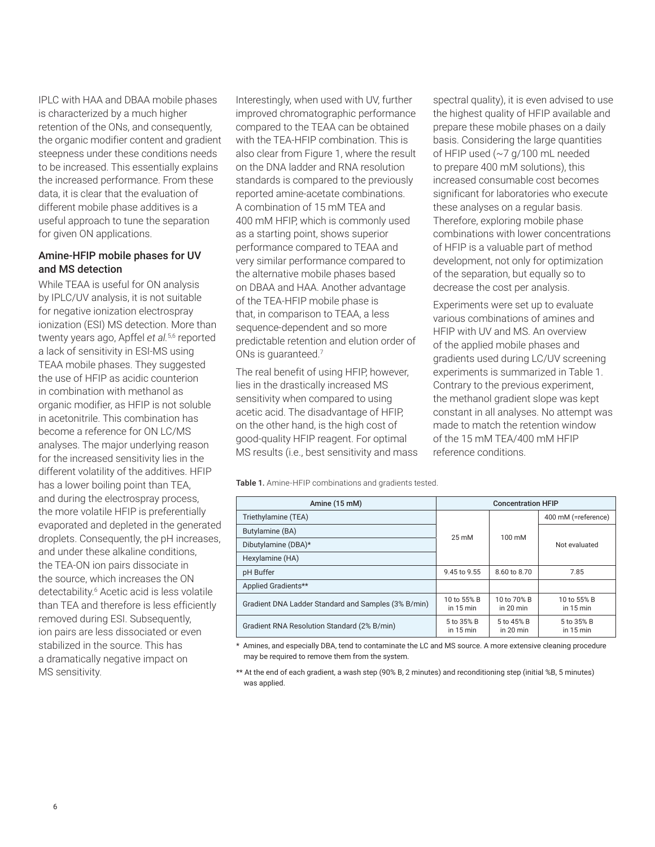IPLC with HAA and DBAA mobile phases is characterized by a much higher retention of the ONs, and consequently, the organic modifier content and gradient steepness under these conditions needs to be increased. This essentially explains the increased performance. From these data, it is clear that the evaluation of different mobile phase additives is a useful approach to tune the separation for given ON applications.

#### Amine-HFIP mobile phases for UV and MS detection

While TEAA is useful for ON analysis by IPLC/UV analysis, it is not suitable for negative ionization electrospray ionization (ESI) MS detection. More than twenty years ago, Apffel *et al.*5,6 reported a lack of sensitivity in ESI‑MS using TEAA mobile phases. They suggested the use of HFIP as acidic counterion in combination with methanol as organic modifier, as HFIP is not soluble in acetonitrile. This combination has become a reference for ON LC/MS analyses. The major underlying reason for the increased sensitivity lies in the different volatility of the additives. HFIP has a lower boiling point than TEA, and during the electrospray process, the more volatile HFIP is preferentially evaporated and depleted in the generated droplets. Consequently, the pH increases, and under these alkaline conditions, the TEA‑ON ion pairs dissociate in the source, which increases the ON detectability.6 Acetic acid is less volatile than TEA and therefore is less efficiently removed during ESI. Subsequently, ion pairs are less dissociated or even stabilized in the source. This has a dramatically negative impact on MS sensitivity.

Interestingly, when used with UV, further improved chromatographic performance compared to the TEAA can be obtained with the TEA-HFIP combination. This is also clear from Figure 1, where the result on the DNA ladder and RNA resolution standards is compared to the previously reported amine-acetate combinations. A combination of 15 mM TEA and 400 mM HFIP, which is commonly used as a starting point, shows superior performance compared to TEAA and very similar performance compared to the alternative mobile phases based on DBAA and HAA. Another advantage of the TEA-HFIP mobile phase is that, in comparison to TEAA, a less sequence-dependent and so more predictable retention and elution order of ONs is quaranteed.<sup>7</sup>

The real benefit of using HFIP, however, lies in the drastically increased MS sensitivity when compared to using acetic acid. The disadvantage of HFIP, on the other hand, is the high cost of good-quality HFIP reagent. For optimal MS results (i.e., best sensitivity and mass

Table 1. Amine-HFIP combinations and gradients tested.

| Amine (15 mM)                                       | <b>Concentration HFIP</b>          |                                    |                                    |  |
|-----------------------------------------------------|------------------------------------|------------------------------------|------------------------------------|--|
| Triethylamine (TEA)                                 |                                    | $100 \text{ mM}$                   | 400 mM (=reference)                |  |
| Butylamine (BA)                                     | $25 \text{ mM}$                    |                                    | Not evaluated                      |  |
| Dibutylamine (DBA)*                                 |                                    |                                    |                                    |  |
| Hexylamine (HA)                                     |                                    |                                    |                                    |  |
| pH Buffer                                           | 9.45 to 9.55                       | 8.60 to 8.70                       | 7.85                               |  |
| Applied Gradients**                                 |                                    |                                    |                                    |  |
| Gradient DNA Ladder Standard and Samples (3% B/min) | 10 to 55% B<br>in $15 \text{ min}$ | 10 to 70% B<br>in $20 \text{ min}$ | 10 to 55% B<br>in $15 \text{ min}$ |  |
| Gradient RNA Resolution Standard (2% B/min)         | 5 to 35% B<br>in $15 \text{ min}$  | 5 to 45% B<br>in $20 \text{ min}$  | 5 to 35% B<br>in $15 \text{ min}$  |  |

Amines, and especially DBA, tend to contaminate the LC and MS source. A more extensive cleaning procedure may be required to remove them from the system.

spectral quality), it is even advised to use the highest quality of HFIP available and prepare these mobile phases on a daily basis. Considering the large quantities of HFIP used (~7 g/100 mL needed to prepare 400 mM solutions), this increased consumable cost becomes significant for laboratories who execute these analyses on a regular basis. Therefore, exploring mobile phase combinations with lower concentrations of HFIP is a valuable part of method development, not only for optimization of the separation, but equally so to decrease the cost per analysis.

Experiments were set up to evaluate various combinations of amines and HFIP with UV and MS. An overview of the applied mobile phases and gradients used during LC/UV screening experiments is summarized in Table 1. Contrary to the previous experiment, the methanol gradient slope was kept constant in all analyses. No attempt was made to match the retention window of the 15 mM TEA/400 mM HFIP reference conditions.

<sup>\*\*</sup> At the end of each gradient, a wash step (90% B, 2 minutes) and reconditioning step (initial %B, 5 minutes) was applied.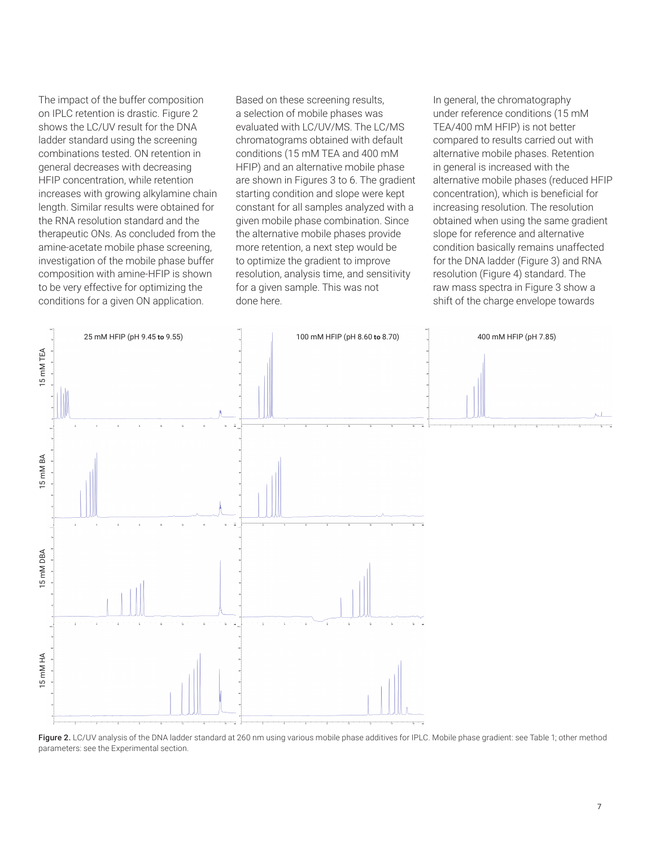The impact of the buffer composition on IPLC retention is drastic. Figure 2 shows the LC/UV result for the DNA ladder standard using the screening combinations tested. ON retention in general decreases with decreasing HFIP concentration, while retention increases with growing alkylamine chain length. Similar results were obtained for the RNA resolution standard and the therapeutic ONs. As concluded from the amine-acetate mobile phase screening, investigation of the mobile phase buffer composition with amine-HFIP is shown to be very effective for optimizing the conditions for a given ON application.

Based on these screening results, a selection of mobile phases was evaluated with LC/UV/MS. The LC/MS chromatograms obtained with default conditions (15 mM TEA and 400 mM HFIP) and an alternative mobile phase are shown in Figures 3 to 6. The gradient starting condition and slope were kept constant for all samples analyzed with a given mobile phase combination. Since the alternative mobile phases provide more retention, a next step would be to optimize the gradient to improve resolution, analysis time, and sensitivity for a given sample. This was not done here.

In general, the chromatography under reference conditions (15 mM TEA/400 mM HFIP) is not better compared to results carried out with alternative mobile phases. Retention in general is increased with the alternative mobile phases (reduced HFIP concentration), which is beneficial for increasing resolution. The resolution obtained when using the same gradient slope for reference and alternative condition basically remains unaffected for the DNA ladder (Figure 3) and RNA resolution (Figure 4) standard. The raw mass spectra in Figure 3 show a shift of the charge envelope towards



Figure 2. LC/UV analysis of the DNA ladder standard at 260 nm using various mobile phase additives for IPLC. Mobile phase gradient: see Table 1; other method parameters: see the Experimental section.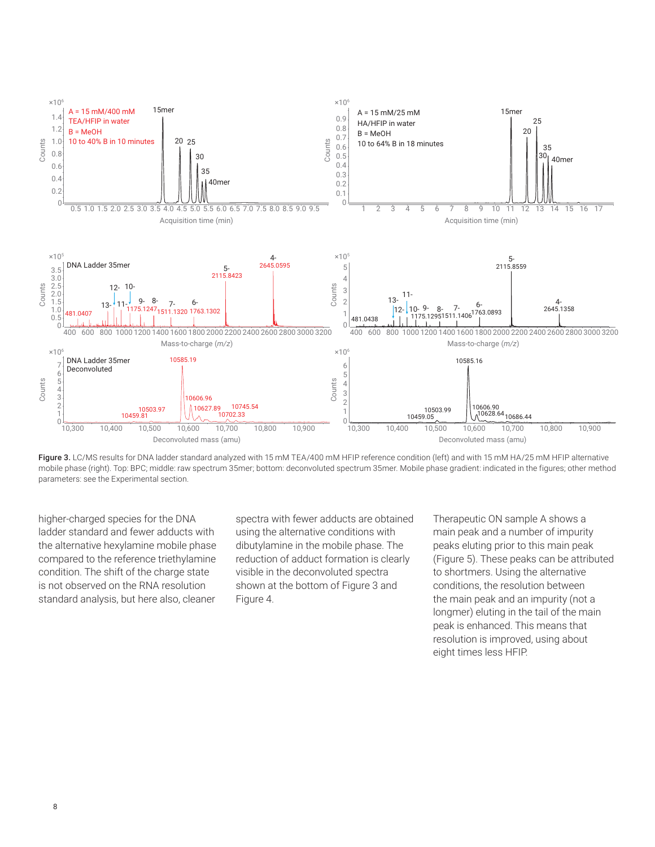

Figure 3. LC/MS results for DNA ladder standard analyzed with 15 mM TEA/400 mM HFIP reference condition (left) and with 15 mM HA/25 mM HFIP alternative mobile phase (right). Top: BPC; middle: raw spectrum 35mer; bottom: deconvoluted spectrum 35mer. Mobile phase gradient: indicated in the figures; other method parameters: see the Experimental section.

higher‑charged species for the DNA ladder standard and fewer adducts with the alternative hexylamine mobile phase compared to the reference triethylamine condition. The shift of the charge state is not observed on the RNA resolution standard analysis, but here also, cleaner

spectra with fewer adducts are obtained using the alternative conditions with dibutylamine in the mobile phase. The reduction of adduct formation is clearly visible in the deconvoluted spectra shown at the bottom of Figure 3 and Figure 4.

Therapeutic ON sample A shows a main peak and a number of impurity peaks eluting prior to this main peak (Figure 5). These peaks can be attributed to shortmers. Using the alternative conditions, the resolution between the main peak and an impurity (not a longmer) eluting in the tail of the main peak is enhanced. This means that resolution is improved, using about eight times less HFIP.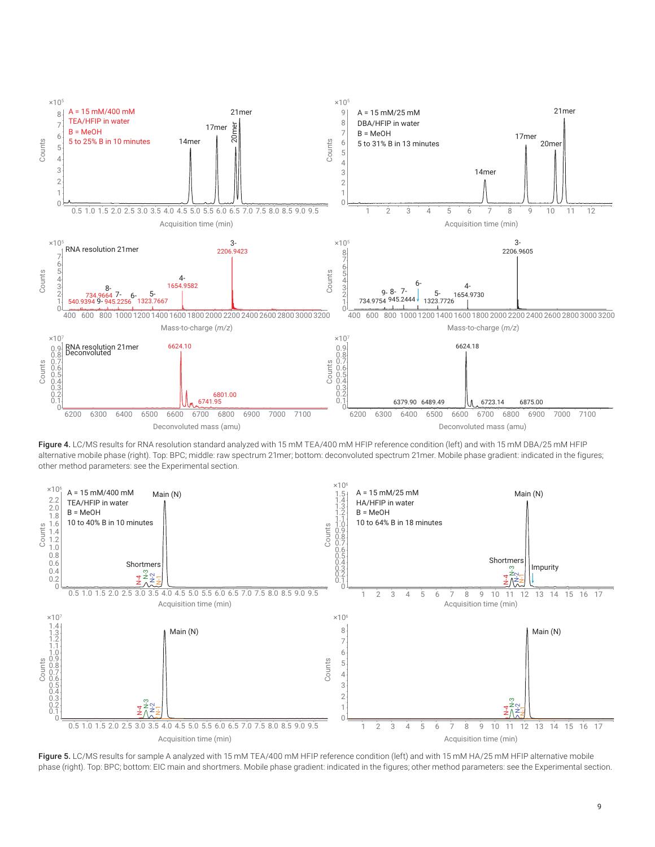

Figure 4. LC/MS results for RNA resolution standard analyzed with 15 mM TEA/400 mM HFIP reference condition (left) and with 15 mM DBA/25 mM HFIP alternative mobile phase (right). Top: BPC; middle: raw spectrum 21mer; bottom: deconvoluted spectrum 21mer. Mobile phase gradient: indicated in the figures; other method parameters: see the Experimental section.



Figure 5. LC/MS results for sample A analyzed with 15 mM TEA/400 mM HFIP reference condition (left) and with 15 mM HA/25 mM HFIP alternative mobile phase (right). Top: BPC; bottom: EIC main and shortmers. Mobile phase gradient: indicated in the figures; other method parameters: see the Experimental section.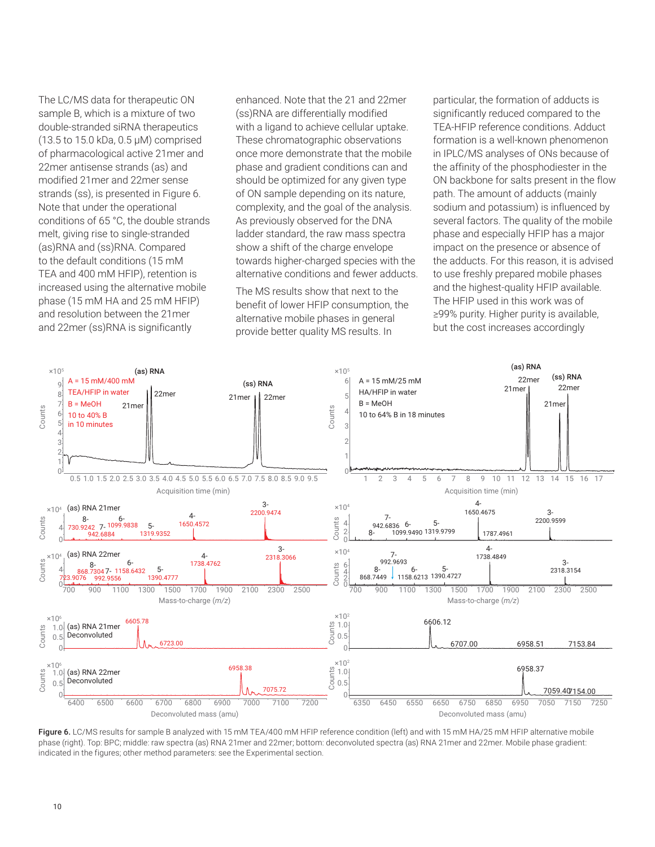The LC/MS data for therapeutic ON sample B, which is a mixture of two double-stranded siRNA therapeutics (13.5 to 15.0 kDa, 0.5 µM) comprised of pharmacological active 21mer and 22mer antisense strands (as) and modified 21mer and 22mer sense strands (ss), is presented in Figure 6. Note that under the operational conditions of 65 °C, the double strands melt, giving rise to single-stranded (as)RNA and (ss)RNA. Compared to the default conditions (15 mM TEA and 400 mM HFIP), retention is increased using the alternative mobile phase (15 mM HA and 25 mM HFIP) and resolution between the 21mer and 22mer (ss)RNA is significantly

enhanced. Note that the 21 and 22mer (ss)RNA are differentially modified with a ligand to achieve cellular uptake. These chromatographic observations once more demonstrate that the mobile phase and gradient conditions can and should be optimized for any given type of ON sample depending on its nature, complexity, and the goal of the analysis. As previously observed for the DNA ladder standard, the raw mass spectra show a shift of the charge envelope towards higher-charged species with the alternative conditions and fewer adducts.

The MS results show that next to the benefit of lower HFIP consumption, the alternative mobile phases in general provide better quality MS results. In

particular, the formation of adducts is significantly reduced compared to the TEA-HFIP reference conditions. Adduct formation is a well-known phenomenon in IPLC/MS analyses of ONs because of the affinity of the phosphodiester in the ON backbone for salts present in the flow path. The amount of adducts (mainly sodium and potassium) is influenced by several factors. The quality of the mobile phase and especially HFIP has a major impact on the presence or absence of the adducts. For this reason, it is advised to use freshly prepared mobile phases and the highest-quality HFIP available. The HFIP used in this work was of ≥99% purity. Higher purity is available, but the cost increases accordingly



Figure 6. LC/MS results for sample B analyzed with 15 mM TEA/400 mM HFIP reference condition (left) and with 15 mM HA/25 mM HFIP alternative mobile phase (right). Top: BPC; middle: raw spectra (as) RNA 21mer and 22mer; bottom: deconvoluted spectra (as) RNA 21mer and 22mer. Mobile phase gradient: indicated in the figures; other method parameters: see the Experimental section.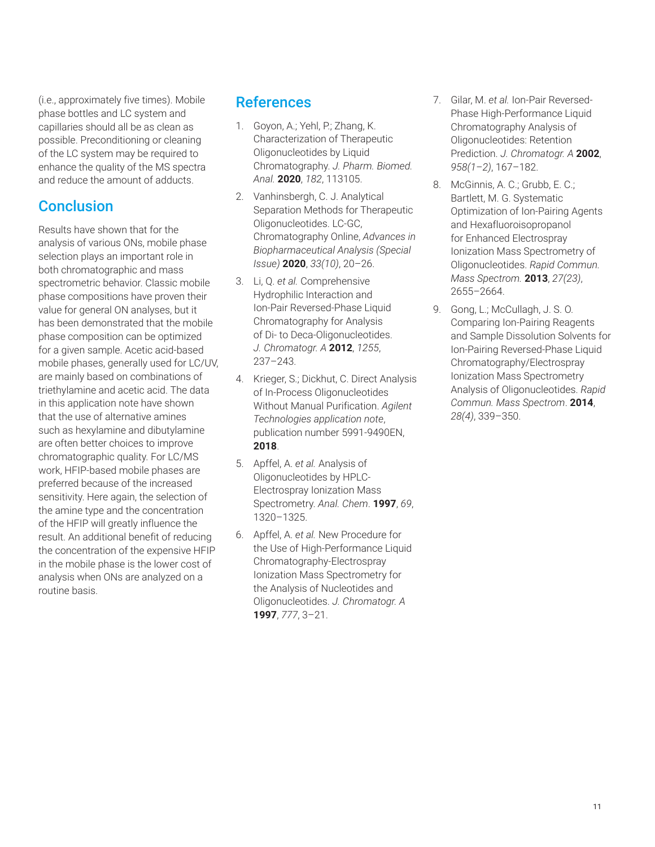(i.e., approximately five times). Mobile phase bottles and LC system and capillaries should all be as clean as possible. Preconditioning or cleaning of the LC system may be required to enhance the quality of the MS spectra and reduce the amount of adducts.

## **Conclusion**

Results have shown that for the analysis of various ONs, mobile phase selection plays an important role in both chromatographic and mass spectrometric behavior. Classic mobile phase compositions have proven their value for general ON analyses, but it has been demonstrated that the mobile phase composition can be optimized for a given sample. Acetic acid-based mobile phases, generally used for LC/UV, are mainly based on combinations of triethylamine and acetic acid. The data in this application note have shown that the use of alternative amines such as hexylamine and dibutylamine are often better choices to improve chromatographic quality. For LC/MS work, HFIP-based mobile phases are preferred because of the increased sensitivity. Here again, the selection of the amine type and the concentration of the HFIP will greatly influence the result. An additional benefit of reducing the concentration of the expensive HFIP in the mobile phase is the lower cost of analysis when ONs are analyzed on a routine basis.

### References

- 1. Goyon, A.; Yehl, P.; Zhang, K. Characterization of Therapeutic Oligonucleotides by Liquid Chromatography. *J. Pharm. Biomed. Anal.* **2020**, *182*, 113105.
- 2. Vanhinsbergh, C. J. Analytical Separation Methods for Therapeutic Oligonucleotides. LC-GC, Chromatography Online, *Advances in Biopharmaceutical Analysis (Special Issue)* **2020**, *33(10)*, 20–26.
- 3. Li, Q. *et al.* Comprehensive Hydrophilic Interaction and Ion‑Pair Reversed-Phase Liquid Chromatography for Analysis of Di- to Deca-Oligonucleotides. *J. Chromatogr. A* **2012**, *1255*, 237–243.
- 4. Krieger, S.; Dickhut, C. Direct Analysis of In-Process Oligonucleotides Without Manual Purification. *Agilent Technologies application note*, publication number 5991-9490EN, **2018**.
- 5. Apffel, A. *et al.* Analysis of Oligonucleotides by HPLC-Electrospray Ionization Mass Spectrometry. *Anal. Chem*. **1997**, *69*, 1320–1325.
- 6. Apffel, A. *et al.* New Procedure for the Use of High-Performance Liquid Chromatography-Electrospray Ionization Mass Spectrometry for the Analysis of Nucleotides and Oligonucleotides. *J. Chromatogr. A*  **1997**, *777*, 3–21.
- 7. Gilar, M. *et al.* Ion-Pair Reversed-Phase High-Performance Liquid Chromatography Analysis of Oligonucleotides: Retention Prediction. *J. Chromatogr. A* **2002**, *958(1–2)*, 167–182.
- 8. McGinnis, A. C.; Grubb, E. C.; Bartlett, M. G. Systematic Optimization of Ion‐Pairing Agents and Hexafluoroisopropanol for Enhanced Electrospray Ionization Mass Spectrometry of Oligonucleotides. *Rapid Commun. Mass Spectrom.* **2013**, *27(23)*, 2655–2664.
- 9. Gong, L.; McCullagh, J. S. O. Comparing Ion‐Pairing Reagents and Sample Dissolution Solvents for Ion‐Pairing Reversed‐Phase Liquid Chromatography/Electrospray Ionization Mass Spectrometry Analysis of Oligonucleotides. *Rapid Commun. Mass Spectrom*. **2014**, *28(4)*, 339–350.